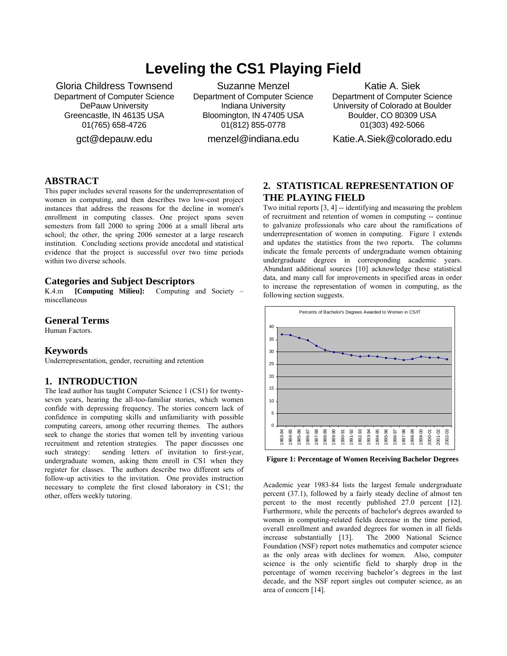# **Leveling the CS1 Playing Field**

Gloria Childress Townsend Department of Computer Science DePauw University Greencastle, IN 46135 USA 01(765) 658-4726

gct@depauw.edu

Suzanne Menzel Department of Computer Science Indiana University Bloomington, IN 47405 USA 01(812) 855-0778

menzel@indiana.edu

Katie A. Siek Department of Computer Science University of Colorado at Boulder Boulder, CO 80309 USA 01(303) 492-5066

Katie.A.Siek@colorado.edu

### **ABSTRACT**

This paper includes several reasons for the underrepresentation of women in computing, and then describes two low-cost project instances that address the reasons for the decline in women's enrollment in computing classes. One project spans seven semesters from fall 2000 to spring 2006 at a small liberal arts school; the other, the spring 2006 semester at a large research institution. Concluding sections provide anecdotal and statistical evidence that the project is successful over two time periods within two diverse schools.

#### **Categories and Subject Descriptors**

K.4.m **[Computing Milieu]:** Computing and Society – miscellaneous

## **General Terms**

Human Factors.

#### **Keywords**

Underrepresentation, gender, recruiting and retention

#### **1. INTRODUCTION**

The lead author has taught Computer Science 1 (CS1) for twentyseven years, hearing the all-too-familiar stories, which women confide with depressing frequency. The stories concern lack of confidence in computing skills and unfamiliarity with possible computing careers, among other recurring themes. The authors seek to change the stories that women tell by inventing various recruitment and retention strategies. The paper discusses one such strategy: sending letters of invitation to first-year, undergraduate women, asking them enroll in CS1 when they register for classes. The authors describe two different sets of follow-up activities to the invitation. One provides instruction necessary to complete the first closed laboratory in CS1; the other, offers weekly tutoring.

## **2. STATISTICAL REPRESENTATION OF THE PLAYING FIELD**

Two initial reports [3, 4] -- identifying and measuring the problem of recruitment and retention of women in computing -- continue to galvanize professionals who care about the ramifications of underrepresentation of women in computing. Figure 1 extends and updates the statistics from the two reports. The columns indicate the female percents of undergraduate women obtaining undergraduate degrees in corresponding academic years. Abundant additional sources [10] acknowledge these statistical data, and many call for improvements in specified areas in order to increase the representation of women in computing, as the following section suggests.



**Figure 1: Percentage of Women Receiving Bachelor Degrees** 

Academic year 1983-84 lists the largest female undergraduate percent (37.1), followed by a fairly steady decline of almost ten percent to the most recently published 27.0 percent [12]. Furthermore, while the percents of bachelor's degrees awarded to women in computing-related fields decrease in the time period, overall enrollment and awarded degrees for women in all fields<br>increase substantially [13]. The 2000 National Science The 2000 National Science Foundation (NSF) report notes mathematics and computer science as the only areas with declines for women. Also, computer science is the only scientific field to sharply drop in the percentage of women receiving bachelor's degrees in the last decade, and the NSF report singles out computer science, as an area of concern [14].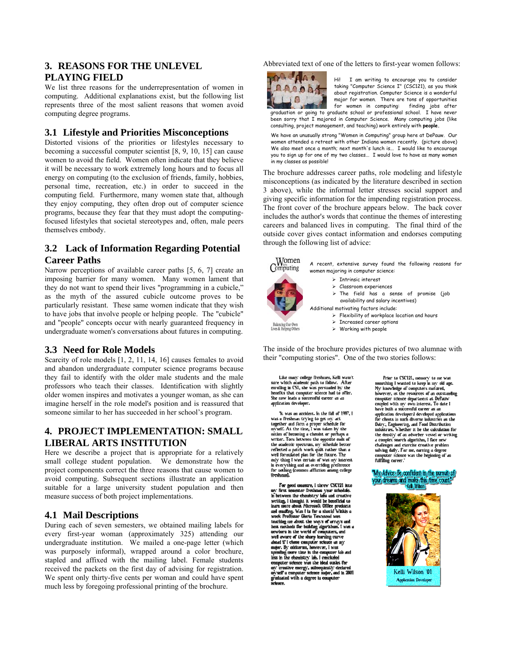## **3. REASONS FOR THE UNLEVEL PLAYING FIELD**

We list three reasons for the underrepresentation of women in computing. Additional explanations exist, but the following list represents three of the most salient reasons that women avoid computing degree programs.

## **3.1 Lifestyle and Priorities Misconceptions**

Distorted visions of the priorities or lifestyles necessary to becoming a successful computer scientist [8, 9, 10, 15] can cause women to avoid the field. Women often indicate that they believe it will be necessary to work extremely long hours and to focus all energy on computing (to the exclusion of friends, family, hobbies, personal time, recreation, etc.) in order to succeed in the computing field. Furthermore, many women state that, although they enjoy computing, they often drop out of computer science programs, because they fear that they must adopt the computingfocused lifestyles that societal stereotypes and, often, male peers themselves embody.

## **3.2 Lack of Information Regarding Potential Career Paths**

Narrow perceptions of available career paths [5, 6, 7] create an imposing barrier for many women. Many women lament that they do not want to spend their lives "programming in a cubicle," as the myth of the assured cubicle outcome proves to be particularly resistant. These same women indicate that they wish to have jobs that involve people or helping people. The "cubicle" and "people" concepts occur with nearly guaranteed frequency in undergraduate women's conversations about futures in computing.

## **3.3 Need for Role Models**

Scarcity of role models [1, 2, 11, 14, 16] causes females to avoid and abandon undergraduate computer science programs because they fail to identify with the older male students and the male professors who teach their classes. Identification with slightly older women inspires and motivates a younger woman, as she can imagine herself in the role model's position and is reassured that someone similar to her has succeeded in her school's program.

# **4. PROJECT IMPLEMENTATION: SMALL LIBERAL ARTS INSTITUTION**

Here we describe a project that is appropriate for a relatively small college student population. We demonstrate how the project components correct the three reasons that cause women to avoid computing. Subsequent sections illustrate an application suitable for a large university student population and then measure success of both project implementations.

## **4.1 Mail Descriptions**

During each of seven semesters, we obtained mailing labels for every first-year woman (approximately 325) attending our undergraduate institution. We mailed a one-page letter (which was purposely informal), wrapped around a color brochure, stapled and affixed with the mailing label. Female students received the packets on the first day of advising for registration. We spent only thirty-five cents per woman and could have spent much less by foregoing professional printing of the brochure.

Abbreviated text of one of the letters to first-year women follows:



Hi! I am writing to encourage you to consider taking "Computer Science I" (CSC121), as you think about registration. Computer Science is a wonderful major for women. There are tons of opportunities<br>for women in computing: finding jobs after for women in computing: graduation or going to graduate school or professional school. I have never been sorry that I majored in Computer Science. Many computing jobs (like consulting, project management, and teaching) work entirely with **people.** 

We have an unusually strong "Women in Computing" group here at DePauw. Our women attended a retreat with other Indiana women recently. (picture above) We also meet once a month; next month's lunch is... I would like to encourage you to sign up for one of my two classes... I would love to have as many women in my classes as possible!

The brochure addresses career paths, role modeling and lifestyle misconceptions (as indicated by the literature described in section 3 above), while the informal letter stresses social support and giving specific information for the impending registration process. The front cover of the brochure appears below. The back cover includes the author's words that continue the themes of interesting careers and balanced lives in computing. The final third of the outside cover gives contact information and endorses computing through the following list of advice:



 $\label{thm:main}$  Like many college freshmen, Kelli wasn't sure which a<br>cademic path to follow. After enrolling in CSI, she was persuaded by the<br>henelits that computer science had to offer. She now leads a successful career as a application developer.

"It was an accident. In the fall of 1997, I was a freshman trying to get my act.<br>together and form a proper schedule for<br>myself. At the time, I was taken by the investigate the using a chemist or perhaps a<br>motion of heconing a chemist or perhaps a<br>writer. Toru between the opposite ends of<br>the academic spectrum, my schedule better<br>reflected a patch work quilt rather than a<br>evel for In everything and an overriding preference<br>for nothing (common affliction among college<br>freshman).

For good measure, I threw CSC121 into my first senester freshman year schedule.<br>In between the chemistry labs and creative<br>writing, I thought it would be beneficial to<br>learn more about Microsoft Office products and emailing. Was I in the a should within u the contract of the state of the state of the state of the state of the state of the state of the state of the state of the state of the state of the state of the state of the state of the state of the state of the state o we was a set the sharp learning curve<br>ahead if I chose computer science as my<br>major. By midterus, however, I was super by masses use, in the computer lab and<br>less in the chemistry lab. I concluded<br>computer science was the ideal outlet for environmental control of the state of the state of the state of the state of the state of the state of the state of the state of the state of the state of the state of the state of the state of the state of the state of th

Prior to CSC121, memory to me was<br>uncthing I wanted to keep in my old age. My knowledge of computers matured,<br>however, as the resources of an outstanding<br>computer science department at DePauw counled with my own interest. To date I have built a successful career as an application developer I developed applications<br>for clients in such diverse industries as the Dairy, Engineering, and Food Distribution<br>industries. Whether it be the calculation for the density of an adsorber vessel or writing<br>a complex search algorithm, I face new challenges and exercise creative problem salving daily. For me, earning a degree<br>computer science was the beginning of an<br>fulfilling career."

#### "My Advice: Be confident in the pursuit of your dreams and make this time count



**Application Developer**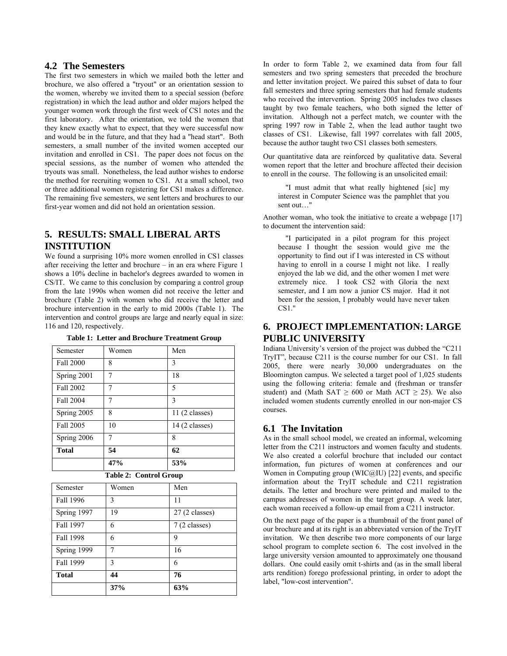## **4.2 The Semesters**

The first two semesters in which we mailed both the letter and brochure, we also offered a "tryout" or an orientation session to the women, whereby we invited them to a special session (before registration) in which the lead author and older majors helped the younger women work through the first week of CS1 notes and the first laboratory. After the orientation, we told the women that they knew exactly what to expect, that they were successful now and would be in the future, and that they had a "head start". Both semesters, a small number of the invited women accepted our invitation and enrolled in CS1. The paper does not focus on the special sessions, as the number of women who attended the tryouts was small. Nonetheless, the lead author wishes to endorse the method for recruiting women to CS1. At a small school, two or three additional women registering for CS1 makes a difference. The remaining five semesters, we sent letters and brochures to our first-year women and did not hold an orientation session.

## **5. RESULTS: SMALL LIBERAL ARTS INSTITUTION**

We found a surprising 10% more women enrolled in CS1 classes after receiving the letter and brochure – in an era where Figure 1 shows a 10% decline in bachelor's degrees awarded to women in CS/IT. We came to this conclusion by comparing a control group from the late 1990s when women did not receive the letter and brochure (Table 2) with women who did receive the letter and brochure intervention in the early to mid 2000s (Table 1). The intervention and control groups are large and nearly equal in size: 116 and 120, respectively.

| Semester     | Men<br>Women |                 |  |
|--------------|--------------|-----------------|--|
| Fall 2000    | 8            | 3               |  |
| Spring 2001  | 7            | 18              |  |
| Fall 2002    | 7            | 5               |  |
| Fall 2004    | 7            | 3               |  |
| Spring 2005  | 8            | $11(2$ classes) |  |
| Fall 2005    | 10           | $14(2$ classes) |  |
| Spring 2006  | 7            | 8               |  |
| <b>Total</b> | 54           | 62              |  |
|              | 47%          | 53%             |  |

**Table 1: Letter and Brochure Treatment Group** 

| Semester     | Women | Men             |  |
|--------------|-------|-----------------|--|
| Fall 1996    | 3     | 11              |  |
| Spring 1997  | 19    | $27(2$ classes) |  |
| Fall 1997    | 6     | 7 (2 classes)   |  |
| Fall 1998    | 6     | 9               |  |
| Spring 1999  | 7     | 16              |  |
| Fall 1999    | 3     | 6               |  |
| <b>Total</b> | 44    | 76              |  |
|              | 37%   | 63%             |  |

In order to form Table 2, we examined data from four fall semesters and two spring semesters that preceded the brochure and letter invitation project. We paired this subset of data to four fall semesters and three spring semesters that had female students who received the intervention. Spring 2005 includes two classes taught by two female teachers, who both signed the letter of invitation. Although not a perfect match, we counter with the spring 1997 row in Table 2, when the lead author taught two classes of CS1. Likewise, fall 1997 correlates with fall 2005, because the author taught two CS1 classes both semesters.

Our quantitative data are reinforced by qualitative data. Several women report that the letter and brochure affected their decision to enroll in the course. The following is an unsolicited email:

"I must admit that what really hightened [sic] my interest in Computer Science was the pamphlet that you sent out…"

Another woman, who took the initiative to create a webpage [17] to document the intervention said:

"I participated in a pilot program for this project because I thought the session would give me the opportunity to find out if I was interested in CS without having to enroll in a course I might not like. I really enjoyed the lab we did, and the other women I met were extremely nice. I took CS2 with Gloria the next semester, and I am now a junior CS major. Had it not been for the session, I probably would have never taken CS1."

## **6. PROJECT IMPLEMENTATION: LARGE PUBLIC UNIVERSITY**

Indiana University's version of the project was dubbed the "C211 TryIT", because C211 is the course number for our CS1. In fall 2005, there were nearly 30,000 undergraduates on the Bloomington campus. We selected a target pool of 1,025 students using the following criteria: female and (freshman or transfer student) and (Math SAT  $\geq 600$  or Math ACT  $\geq 25$ ). We also included women students currently enrolled in our non-major CS courses.

## **6.1 The Invitation**

As in the small school model, we created an informal, welcoming letter from the C211 instructors and women faculty and students. We also created a colorful brochure that included our contact information, fun pictures of women at conferences and our Women in Computing group (WIC@IU) [22] events, and specific information about the TryIT schedule and C211 registration details. The letter and brochure were printed and mailed to the campus addresses of women in the target group. A week later, each woman received a follow-up email from a C211 instructor.

On the next page of the paper is a thumbnail of the front panel of our brochure and at its right is an abbreviated version of the TryIT invitation. We then describe two more components of our large school program to complete section 6. The cost involved in the large university version amounted to approximately one thousand dollars. One could easily omit t-shirts and (as in the small liberal arts rendition) forego professional printing, in order to adopt the label, "low-cost intervention".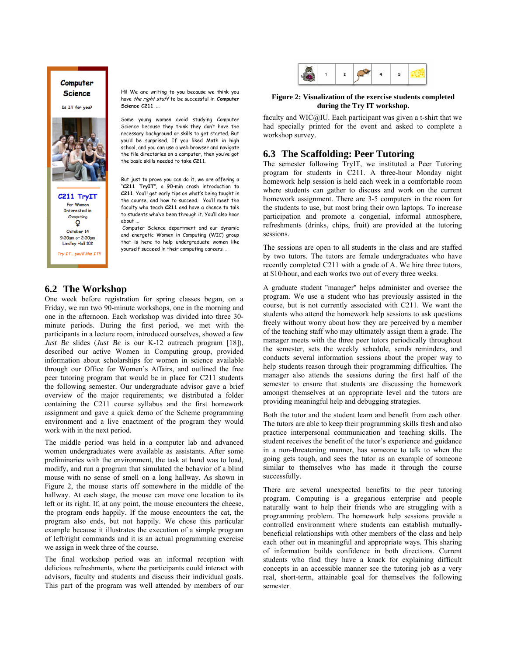#### Computer **Science**

Is IT for you?



Hi! We are writing to you because we think you have the right stuff to be successful in **Computer Science C211**. ...

Some young women avoid studying Computer Science because they think they don't have the necessary background or skills to get started. But you'd be surprised. If you liked Math in high school, and you can use a web browser and navigate the file directories on a computer, then you've got the basic skills needed to take **C211**.

But just to prove you can do it, we are offering a "**C211 TryIT**", a 90-min crash introduction to **C211**. You'll get early tips on what's being taught in the course, and how to succeed. You'll meet the faculty who teach **C211** and have a chance to talk to students who've been through it. You'll also hear about ...

 Computer Science department and our dynamic and energetic Women in Computing (WIC) group that is here to help undergraduate women like yourself succeed in their computing careers. …

## **6.2 The Workshop**

One week before registration for spring classes began, on a Friday, we ran two 90-minute workshops, one in the morning and one in the afternoon. Each workshop was divided into three 30 minute periods. During the first period, we met with the participants in a lecture room, introduced ourselves, showed a few *Just Be* slides (*Just Be* is our K-12 outreach program [18]), described our active Women in Computing group, provided information about scholarships for women in science available through our Office for Women's Affairs, and outlined the free peer tutoring program that would be in place for C211 students the following semester. Our undergraduate advisor gave a brief overview of the major requirements; we distributed a folder containing the C211 course syllabus and the first homework assignment and gave a quick demo of the Scheme programming environment and a live enactment of the program they would work with in the next period.

The middle period was held in a computer lab and advanced women undergraduates were available as assistants. After some preliminaries with the environment, the task at hand was to load, modify, and run a program that simulated the behavior of a blind mouse with no sense of smell on a long hallway. As shown in Figure 2, the mouse starts off somewhere in the middle of the hallway. At each stage, the mouse can move one location to its left or its right. If, at any point, the mouse encounters the cheese, the program ends happily. If the mouse encounters the cat, the program also ends, but not happily. We chose this particular example because it illustrates the execution of a simple program of left/right commands and it is an actual programming exercise we assign in week three of the course.

The final workshop period was an informal reception with delicious refreshments, where the participants could interact with advisors, faculty and students and discuss their individual goals. This part of the program was well attended by members of our



#### **Figure 2: Visualization of the exercise students completed during the Try IT workshop.**

faculty and WIC@IU. Each participant was given a t-shirt that we had specially printed for the event and asked to complete a workshop survey.

#### **6.3 The Scaffolding: Peer Tutoring**

The semester following TryIT, we instituted a Peer Tutoring program for students in C211. A three-hour Monday night homework help session is held each week in a comfortable room where students can gather to discuss and work on the current homework assignment. There are 3-5 computers in the room for the students to use, but most bring their own laptops. To increase participation and promote a congenial, informal atmosphere, refreshments (drinks, chips, fruit) are provided at the tutoring sessions.

The sessions are open to all students in the class and are staffed by two tutors. The tutors are female undergraduates who have recently completed C211 with a grade of A. We hire three tutors, at \$10/hour, and each works two out of every three weeks.

A graduate student "manager" helps administer and oversee the program. We use a student who has previously assisted in the course, but is not currently associated with C211. We want the students who attend the homework help sessions to ask questions freely without worry about how they are perceived by a member of the teaching staff who may ultimately assign them a grade. The manager meets with the three peer tutors periodically throughout the semester, sets the weekly schedule, sends reminders, and conducts several information sessions about the proper way to help students reason through their programming difficulties. The manager also attends the sessions during the first half of the semester to ensure that students are discussing the homework amongst themselves at an appropriate level and the tutors are providing meaningful help and debugging strategies.

Both the tutor and the student learn and benefit from each other. The tutors are able to keep their programming skills fresh and also practice interpersonal communication and teaching skills. The student receives the benefit of the tutor's experience and guidance in a non-threatening manner, has someone to talk to when the going gets tough, and sees the tutor as an example of someone similar to themselves who has made it through the course successfully.

There are several unexpected benefits to the peer tutoring program. Computing is a gregarious enterprise and people naturally want to help their friends who are struggling with a programming problem. The homework help sessions provide a controlled environment where students can establish mutuallybeneficial relationships with other members of the class and help each other out in meaningful and appropriate ways. This sharing of information builds confidence in both directions. Current students who find they have a knack for explaining difficult concepts in an accessible manner see the tutoring job as a very real, short-term, attainable goal for themselves the following semester.